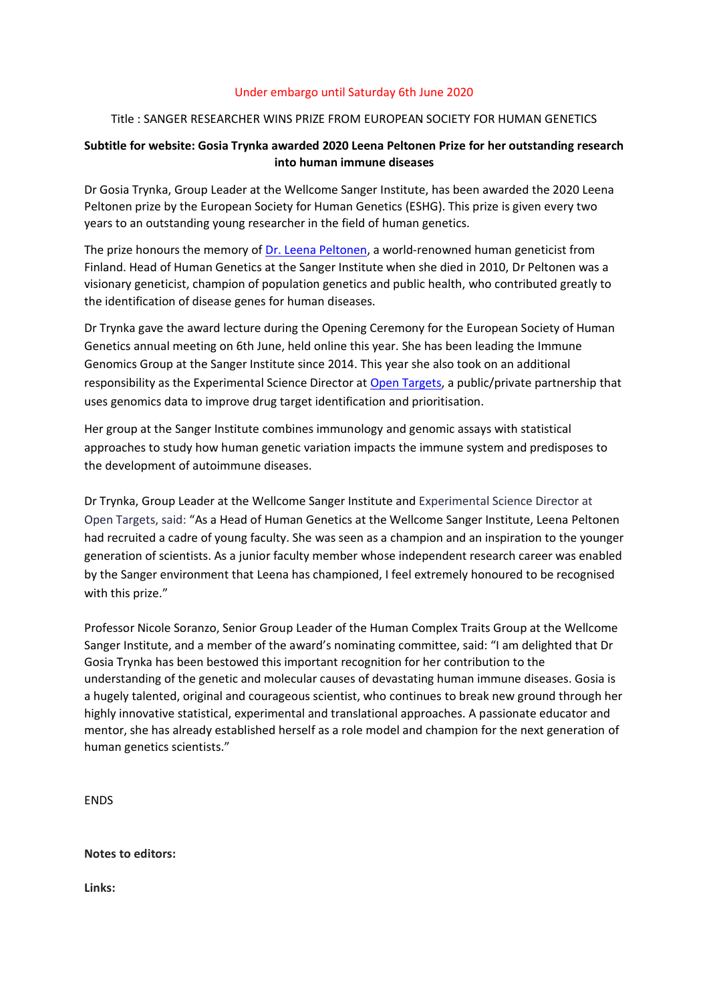## Under embargo until Saturday 6th June 2020

## Title : SANGER RESEARCHER WINS PRIZE FROM EUROPEAN SOCIETY FOR HUMAN GENETICS

# **Subtitle for website: Gosia Trynka awarded 2020 Leena Peltonen Prize for her outstanding research into human immune diseases**

Dr Gosia Trynka, Group Leader at the Wellcome Sanger Institute, has been awarded the 2020 Leena Peltonen prize by the European Society for Human Genetics (ESHG). This prize is given every two years to an outstanding young researcher in the field of human genetics.

The prize honours the memory of [Dr. Leena Peltonen,](https://www.sanger.ac.uk/news_item/2010-03-11-professor-leena-peltonen-palotie-1952-2010/) a world-renowned human geneticist from Finland. Head of Human Genetics at the Sanger Institute when she died in 2010, Dr Peltonen was a visionary geneticist, champion of population genetics and public health, who contributed greatly to the identification of disease genes for human diseases.

Dr Trynka gave the award lecture during the Opening Ceremony for the European Society of Human Genetics annual meeting on 6th June, held online this year. She has been leading the Immune Genomics Group at the Sanger Institute since 2014. This year she also took on an additional responsibility as the Experimental Science Director at [Open Targets,](http://www.opentargets.org/) a public/private partnership that uses genomics data to improve drug target identification and prioritisation.

Her group at the Sanger Institute combines immunology and genomic assays with statistical approaches to study how human genetic variation impacts the immune system and predisposes to the development of autoimmune diseases.

Dr Trynka, Group Leader at the Wellcome Sanger Institute and Experimental Science Director at Open Targets, said: "As a Head of Human Genetics at the Wellcome Sanger Institute, Leena Peltonen had recruited a cadre of young faculty. She was seen as a champion and an inspiration to the younger generation of scientists. As a junior faculty member whose independent research career was enabled by the Sanger environment that Leena has championed, I feel extremely honoured to be recognised with this prize."

Professor Nicole Soranzo, Senior Group Leader of the Human Complex Traits Group at the Wellcome Sanger Institute, and a member of the award's nominating committee, said: "I am delighted that Dr Gosia Trynka has been bestowed this important recognition for her contribution to the understanding of the genetic and molecular causes of devastating human immune diseases. Gosia is a hugely talented, original and courageous scientist, who continues to break new ground through her highly innovative statistical, experimental and translational approaches. A passionate educator and mentor, she has already established herself as a role model and champion for the next generation of human genetics scientists."

ENDS

**Notes to editors:**

**Links:**